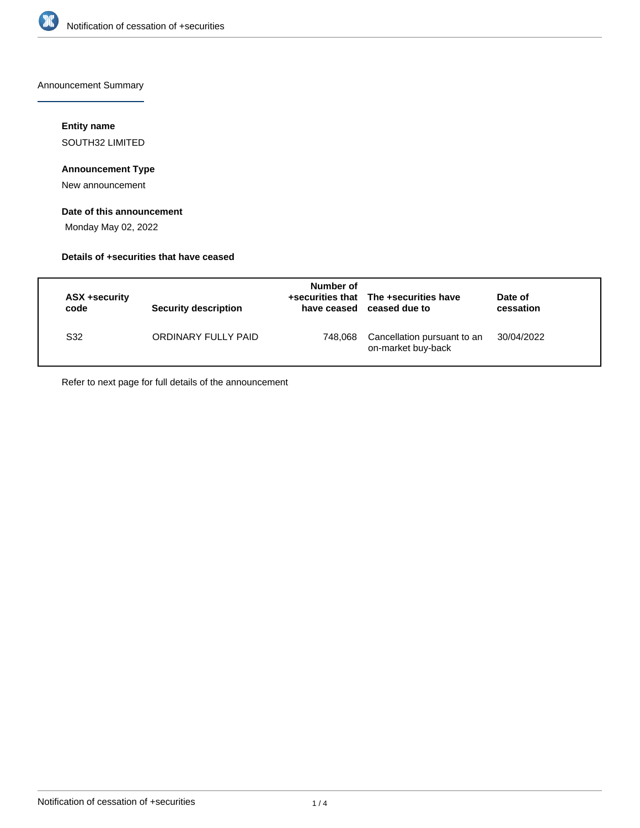

Announcement Summary

# **Entity name**

SOUTH32 LIMITED

## **Announcement Type**

New announcement

### **Date of this announcement**

Monday May 02, 2022

### **Details of +securities that have ceased**

| ASX +security<br>code | <b>Security description</b> | Number of<br>have ceased | +securities that The +securities have<br>ceased due to | Date of<br>cessation |
|-----------------------|-----------------------------|--------------------------|--------------------------------------------------------|----------------------|
| S32                   | ORDINARY FULLY PAID         | 748,068                  | Cancellation pursuant to an<br>on-market buy-back      | 30/04/2022           |

Refer to next page for full details of the announcement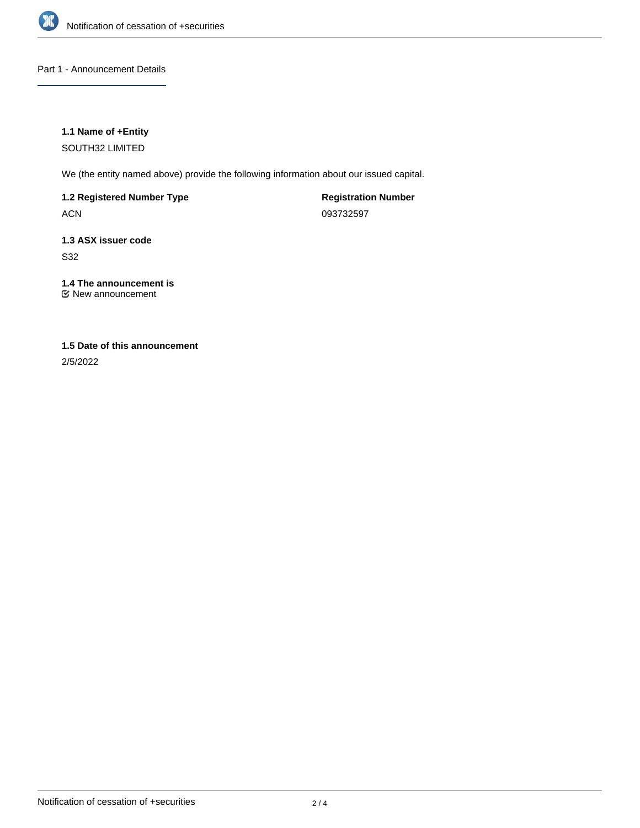

### Part 1 - Announcement Details

### **1.1 Name of +Entity**

SOUTH32 LIMITED

We (the entity named above) provide the following information about our issued capital.

# **1.2 Registered Number Type**

ACN

**Registration Number** 093732597

# **1.3 ASX issuer code**

S32

# **1.4 The announcement is**

New announcement

# **1.5 Date of this announcement**

2/5/2022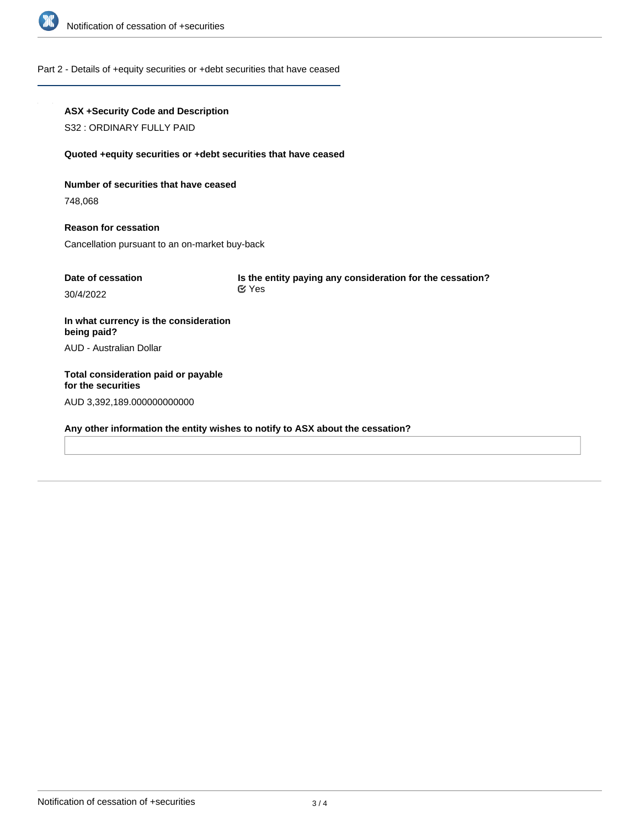

#### Part 2 - Details of +equity securities or +debt securities that have ceased

# **ASX +Security Code and Description** S32 : ORDINARY FULLY PAID **Quoted +equity securities or +debt securities that have ceased Number of securities that have ceased** 748,068 **Reason for cessation** Cancellation pursuant to an on-market buy-back **Date of cessation** 30/4/2022 **Is the entity paying any consideration for the cessation? In what currency is the consideration being paid?** AUD - Australian Dollar **Total consideration paid or payable for the securities** AUD 3,392,189.000000000000 **Any other information the entity wishes to notify to ASX about the cessation?** Yes